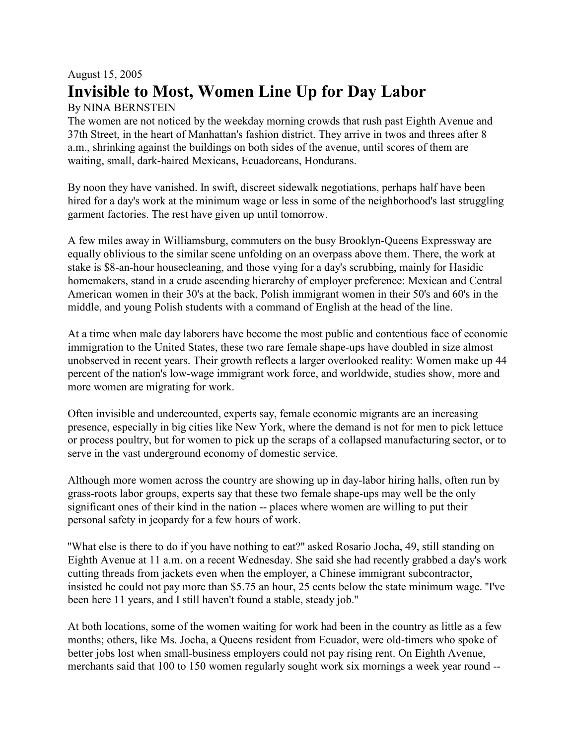## August 15, 2005 **Invisible to Most, Women Line Up for Day Labor**

## By NINA BERNSTEIN

The women are not noticed by the weekday morning crowds that rush past Eighth Avenue and 37th Street, in the heart of Manhattan's fashion district. They arrive in twos and threes after 8 a.m., shrinking against the buildings on both sides of the avenue, until scores of them are waiting, small, dark-haired Mexicans, Ecuadoreans, Hondurans.

By noon they have vanished. In swift, discreet sidewalk negotiations, perhaps half have been hired for a day's work at the minimum wage or less in some of the neighborhood's last struggling garment factories. The rest have given up until tomorrow.

A few miles away in Williamsburg, commuters on the busy Brooklyn-Queens Expressway are equally oblivious to the similar scene unfolding on an overpass above them. There, the work at stake is \$8-an-hour housecleaning, and those vying for a day's scrubbing, mainly for Hasidic homemakers, stand in a crude ascending hierarchy of employer preference: Mexican and Central American women in their 30's at the back, Polish immigrant women in their 50's and 60's in the middle, and young Polish students with a command of English at the head of the line.

At a time when male day laborers have become the most public and contentious face of economic immigration to the United States, these two rare female shape-ups have doubled in size almost unobserved in recent years. Their growth reflects a larger overlooked reality: Women make up 44 percent of the nation's low-wage immigrant work force, and worldwide, studies show, more and more women are migrating for work.

Often invisible and undercounted, experts say, female economic migrants are an increasing presence, especially in big cities like New York, where the demand is not for men to pick lettuce or process poultry, but for women to pick up the scraps of a collapsed manufacturing sector, or to serve in the vast underground economy of domestic service.

Although more women across the country are showing up in day-labor hiring halls, often run by grass-roots labor groups, experts say that these two female shape-ups may well be the only significant ones of their kind in the nation -- places where women are willing to put their personal safety in jeopardy for a few hours of work.

''What else is there to do if you have nothing to eat?'' asked Rosario Jocha, 49, still standing on Eighth Avenue at 11 a.m. on a recent Wednesday. She said she had recently grabbed a day's work cutting threads from jackets even when the employer, a Chinese immigrant subcontractor, insisted he could not pay more than \$5.75 an hour, 25 cents below the state minimum wage. ''I've been here 11 years, and I still haven't found a stable, steady job.''

At both locations, some of the women waiting for work had been in the country as little as a few months; others, like Ms. Jocha, a Queens resident from Ecuador, were old-timers who spoke of better jobs lost when small-business employers could not pay rising rent. On Eighth Avenue, merchants said that 100 to 150 women regularly sought work six mornings a week year round --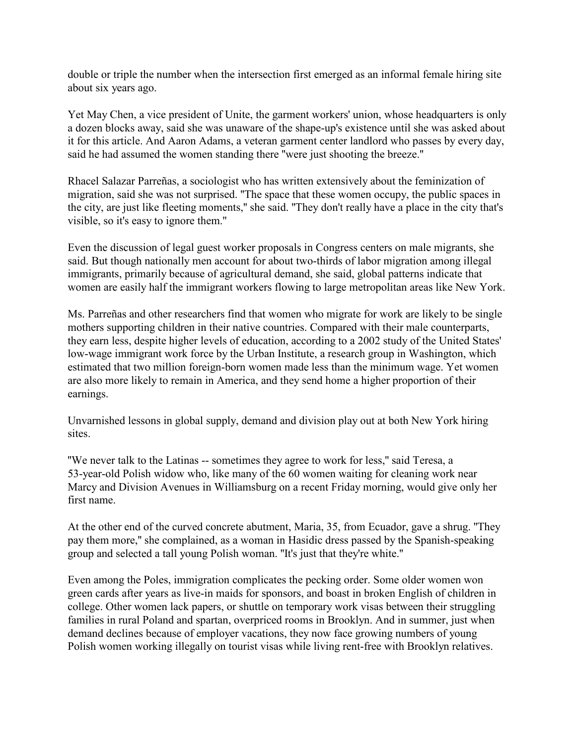double or triple the number when the intersection first emerged as an informal female hiring site about six years ago.

Yet May Chen, a vice president of Unite, the garment workers' union, whose headquarters is only a dozen blocks away, said she was unaware of the shape-up's existence until she was asked about it for this article. And Aaron Adams, a veteran garment center landlord who passes by every day, said he had assumed the women standing there "were just shooting the breeze."

Rhacel Salazar Parreñas, a sociologist who has written extensively about the feminization of migration, said she was not surprised. ''The space that these women occupy, the public spaces in the city, are just like fleeting moments,'' she said. ''They don't really have a place in the city that's visible, so it's easy to ignore them.''

Even the discussion of legal guest worker proposals in Congress centers on male migrants, she said. But though nationally men account for about two-thirds of labor migration among illegal immigrants, primarily because of agricultural demand, she said, global patterns indicate that women are easily half the immigrant workers flowing to large metropolitan areas like New York.

Ms. Parreñas and other researchers find that women who migrate for work are likely to be single mothers supporting children in their native countries. Compared with their male counterparts, they earn less, despite higher levels of education, according to a 2002 study of the United States' low-wage immigrant work force by the Urban Institute, a research group in Washington, which estimated that two million foreign-born women made less than the minimum wage. Yet women are also more likely to remain in America, and they send home a higher proportion of their earnings.

Unvarnished lessons in global supply, demand and division play out at both New York hiring sites.

''We never talk to the Latinas -- sometimes they agree to work for less,'' said Teresa, a 53-year-old Polish widow who, like many of the 60 women waiting for cleaning work near Marcy and Division Avenues in Williamsburg on a recent Friday morning, would give only her first name.

At the other end of the curved concrete abutment, Maria, 35, from Ecuador, gave a shrug. ''They pay them more,'' she complained, as a woman in Hasidic dress passed by the Spanish-speaking group and selected a tall young Polish woman. ''It's just that they're white.''

Even among the Poles, immigration complicates the pecking order. Some older women won green cards after years as live-in maids for sponsors, and boast in broken English of children in college. Other women lack papers, or shuttle on temporary work visas between their struggling families in rural Poland and spartan, overpriced rooms in Brooklyn. And in summer, just when demand declines because of employer vacations, they now face growing numbers of young Polish women working illegally on tourist visas while living rent-free with Brooklyn relatives.